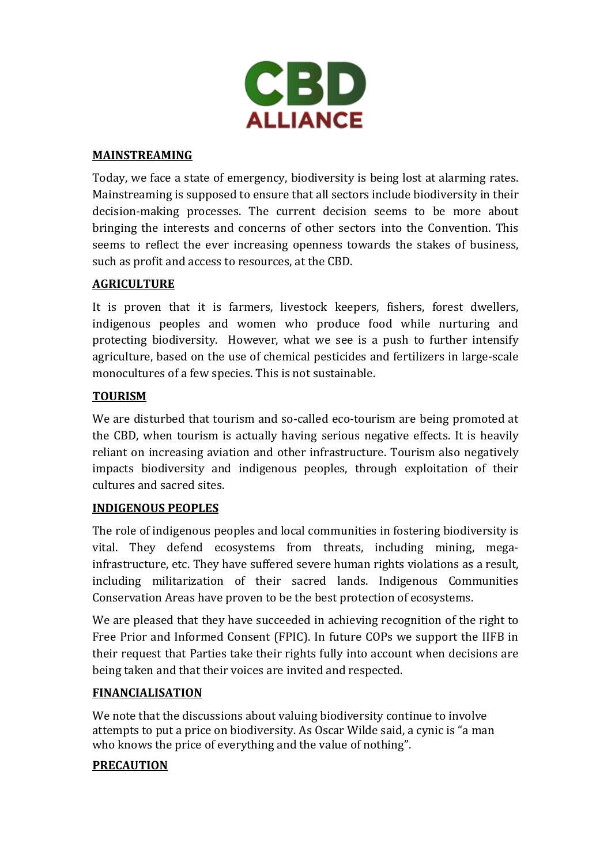

### **MAINSTREAMING**

Today, we face a state of emergency, biodiversity is being lost at alarming rates. Mainstreaming is supposed to ensure that all sectors include biodiversity in their decision-making processes. The current decision seems to be more about bringing the interests and concerns of other sectors into the Convention. This seems to reflect the ever increasing openness towards the stakes of business, such as profit and access to resources, at the CBD.

## **AGRICULTURE**

It is proven that it is farmers, livestock keepers, fishers, forest dwellers, indigenous peoples and women who produce food while nurturing and protecting biodiversity. However, what we see is a push to further intensify agriculture, based on the use of chemical pesticides and fertilizers in large-scale monocultures of a few species. This is not sustainable.

## **TOURISM**

We are disturbed that tourism and so-called eco-tourism are being promoted at the CBD, when tourism is actually having serious negative effects. It is heavily reliant on increasing aviation and other infrastructure. Tourism also negatively impacts biodiversity and indigenous peoples, through exploitation of their cultures and sacred sites.

### **INDIGENOUS PEOPLES**

The role of indigenous peoples and local communities in fostering biodiversity is vital. They defend ecosystems from threats, including mining, megainfrastructure, etc. They have suffered severe human rights violations as a result, including militarization of their sacred lands. Indigenous Communities Conservation Areas have proven to be the best protection of ecosystems.

We are pleased that they have succeeded in achieving recognition of the right to Free Prior and Informed Consent (FPIC). In future COPs we support the IIFB in their request that Parties take their rights fully into account when decisions are being taken and that their voices are invited and respected.

### **FINANCIALISATION**

We note that the discussions about valuing biodiversity continue to involve attempts to put a price on biodiversity. As Oscar Wilde said, a cynic is "a man who knows the price of everything and the value of nothing".

### **PRECAUTION**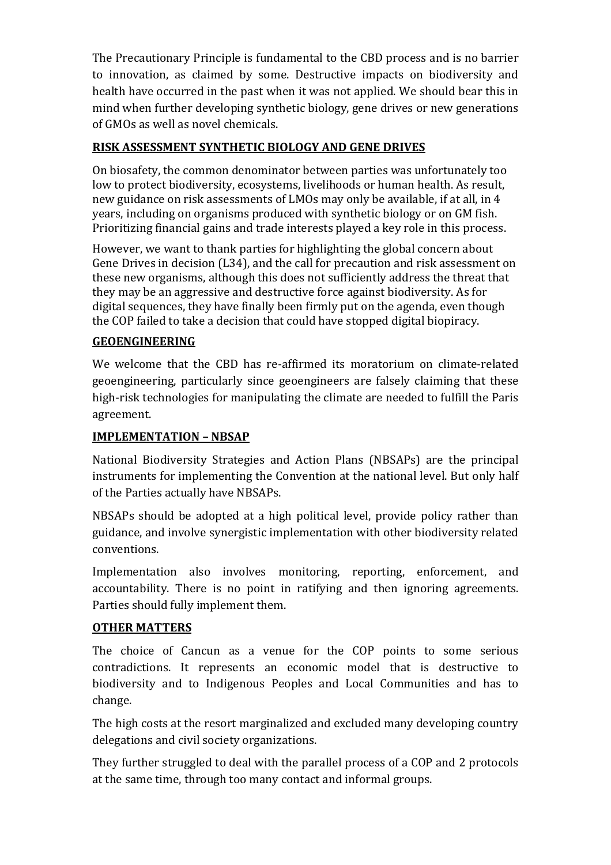The Precautionary Principle is fundamental to the CBD process and is no barrier to innovation, as claimed by some. Destructive impacts on biodiversity and health have occurred in the past when it was not applied. We should bear this in mind when further developing synthetic biology, gene drives or new generations of GMOs as well as novel chemicals.

# **RISK ASSESSMENT SYNTHETIC BIOLOGY AND GENE DRIVES**

On biosafety, the common denominator between parties was unfortunately too low to protect biodiversity, ecosystems, livelihoods or human health. As result, new guidance on risk assessments of LMOs may only be available, if at all, in 4 years, including on organisms produced with synthetic biology or on GM fish. Prioritizing financial gains and trade interests played a key role in this process.

However, we want to thank parties for highlighting the global concern about Gene Drives in decision (L34), and the call for precaution and risk assessment on these new organisms, although this does not sufficiently address the threat that they may be an aggressive and destructive force against biodiversity. As for digital sequences, they have finally been firmly put on the agenda, even though the COP failed to take a decision that could have stopped digital biopiracy.

## **GEOENGINEERING**

We welcome that the CBD has re-affirmed its moratorium on climate-related geoengineering, particularly since geoengineers are falsely claiming that these high-risk technologies for manipulating the climate are needed to fulfill the Paris agreement.

## **IMPLEMENTATION – NBSAP**

National Biodiversity Strategies and Action Plans (NBSAPs) are the principal instruments for implementing the Convention at the national level. But only half of the Parties actually have NBSAPs.

NBSAPs should be adopted at a high political level, provide policy rather than guidance, and involve synergistic implementation with other biodiversity related conventions.

Implementation also involves monitoring, reporting, enforcement, and accountability. There is no point in ratifying and then ignoring agreements. Parties should fully implement them.

## **OTHER MATTERS**

The choice of Cancun as a venue for the COP points to some serious contradictions. It represents an economic model that is destructive to biodiversity and to Indigenous Peoples and Local Communities and has to change.

The high costs at the resort marginalized and excluded many developing country delegations and civil society organizations.

They further struggled to deal with the parallel process of a COP and 2 protocols at the same time, through too many contact and informal groups.